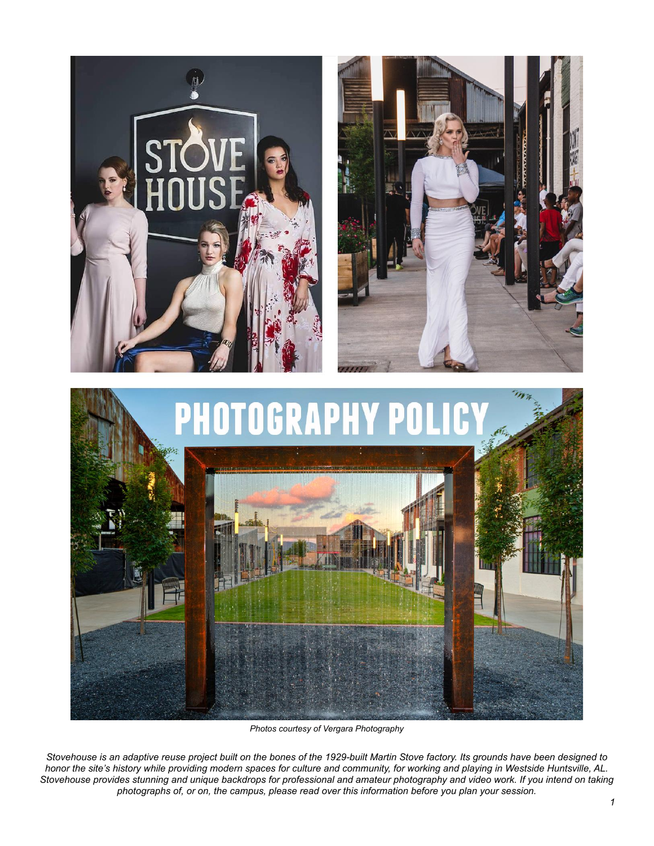

*Photos courtesy of Vergara Photography*

*Stovehouse is an adaptive reuse project built on the bones of the 1929-built Martin Stove factory. Its grounds have been designed to honor the site's history while providing modern spaces for culture and community, for working and playing in Westside Huntsville, AL. Stovehouse provides stunning and unique backdrops for professional and amateur photography and video work. If you intend on taking photographs of, or on, the campus, please read over this information before you plan your session.*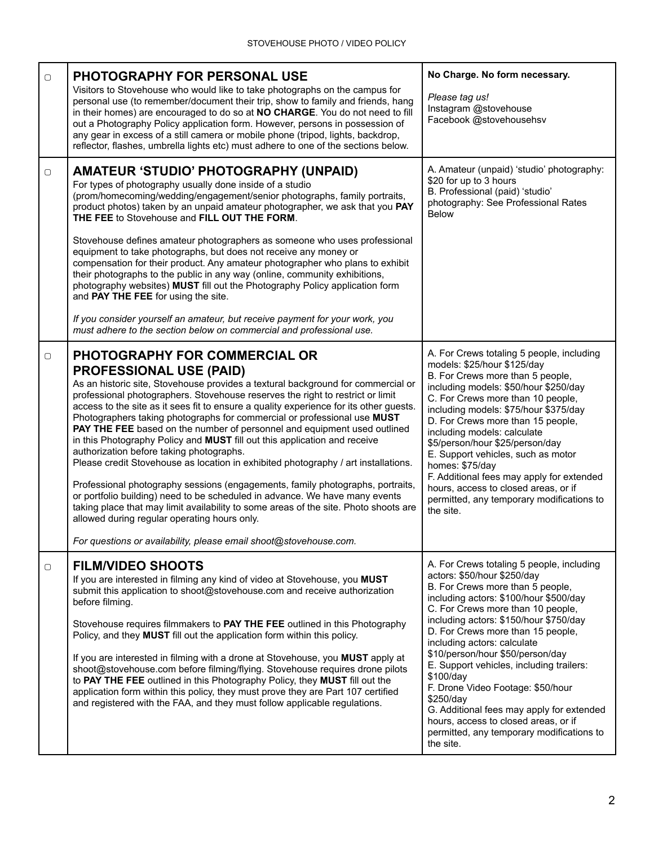| $\Box$ | <b>PHOTOGRAPHY FOR PERSONAL USE</b><br>Visitors to Stovehouse who would like to take photographs on the campus for<br>personal use (to remember/document their trip, show to family and friends, hang<br>in their homes) are encouraged to do so at NO CHARGE. You do not need to fill<br>out a Photography Policy application form. However, persons in possession of<br>any gear in excess of a still camera or mobile phone (tripod, lights, backdrop,<br>reflector, flashes, umbrella lights etc) must adhere to one of the sections below.                                                                                                                                                                                                                                                                                                                                                                                                                                                                                                                                             | No Charge. No form necessary.<br>Please tag us!<br>Instagram @stovehouse<br>Facebook @stovehousehsv                                                                                                                                                                                                                                                                                                                                                                                                                                                                                                     |
|--------|---------------------------------------------------------------------------------------------------------------------------------------------------------------------------------------------------------------------------------------------------------------------------------------------------------------------------------------------------------------------------------------------------------------------------------------------------------------------------------------------------------------------------------------------------------------------------------------------------------------------------------------------------------------------------------------------------------------------------------------------------------------------------------------------------------------------------------------------------------------------------------------------------------------------------------------------------------------------------------------------------------------------------------------------------------------------------------------------|---------------------------------------------------------------------------------------------------------------------------------------------------------------------------------------------------------------------------------------------------------------------------------------------------------------------------------------------------------------------------------------------------------------------------------------------------------------------------------------------------------------------------------------------------------------------------------------------------------|
| $\Box$ | <b>AMATEUR 'STUDIO' PHOTOGRAPHY (UNPAID)</b><br>For types of photography usually done inside of a studio<br>(prom/homecoming/wedding/engagement/senior photographs, family portraits,<br>product photos) taken by an unpaid amateur photographer, we ask that you PAY<br>THE FEE to Stovehouse and FILL OUT THE FORM.<br>Stovehouse defines amateur photographers as someone who uses professional<br>equipment to take photographs, but does not receive any money or<br>compensation for their product. Any amateur photographer who plans to exhibit<br>their photographs to the public in any way (online, community exhibitions,<br>photography websites) MUST fill out the Photography Policy application form<br>and PAY THE FEE for using the site.<br>If you consider yourself an amateur, but receive payment for your work, you<br>must adhere to the section below on commercial and professional use.                                                                                                                                                                          | A. Amateur (unpaid) 'studio' photography:<br>\$20 for up to 3 hours<br>B. Professional (paid) 'studio'<br>photography: See Professional Rates<br><b>Below</b>                                                                                                                                                                                                                                                                                                                                                                                                                                           |
| 0      | <b>PHOTOGRAPHY FOR COMMERCIAL OR</b><br><b>PROFESSIONAL USE (PAID)</b><br>As an historic site, Stovehouse provides a textural background for commercial or<br>professional photographers. Stovehouse reserves the right to restrict or limit<br>access to the site as it sees fit to ensure a quality experience for its other guests.<br>Photographers taking photographs for commercial or professional use MUST<br>PAY THE FEE based on the number of personnel and equipment used outlined<br>in this Photography Policy and MUST fill out this application and receive<br>authorization before taking photographs.<br>Please credit Stovehouse as location in exhibited photography / art installations.<br>Professional photography sessions (engagements, family photographs, portraits,<br>or portfolio building) need to be scheduled in advance. We have many events<br>taking place that may limit availability to some areas of the site. Photo shoots are<br>allowed during regular operating hours only.<br>For questions or availability, please email shoot@stovehouse.com. | A. For Crews totaling 5 people, including<br>models: \$25/hour \$125/day<br>B. For Crews more than 5 people,<br>including models: \$50/hour \$250/day<br>C. For Crews more than 10 people,<br>including models: \$75/hour \$375/day<br>D. For Crews more than 15 people,<br>including models: calculate<br>\$5/person/hour \$25/person/day<br>E. Support vehicles, such as motor<br>homes: \$75/day<br>F. Additional fees may apply for extended<br>hours, access to closed areas, or if<br>permitted, any temporary modifications to<br>the site.                                                      |
| $\Box$ | <b>FILM/VIDEO SHOOTS</b><br>If you are interested in filming any kind of video at Stovehouse, you MUST<br>submit this application to shoot@stovehouse.com and receive authorization<br>before filming.<br>Stovehouse requires filmmakers to PAY THE FEE outlined in this Photography<br>Policy, and they MUST fill out the application form within this policy.<br>If you are interested in filming with a drone at Stovehouse, you MUST apply at<br>shoot@stovehouse.com before filming/flying. Stovehouse requires drone pilots<br>to PAY THE FEE outlined in this Photography Policy, they MUST fill out the<br>application form within this policy, they must prove they are Part 107 certified<br>and registered with the FAA, and they must follow applicable regulations.                                                                                                                                                                                                                                                                                                            | A. For Crews totaling 5 people, including<br>actors: \$50/hour \$250/day<br>B. For Crews more than 5 people,<br>including actors: \$100/hour \$500/day<br>C. For Crews more than 10 people,<br>including actors: \$150/hour \$750/day<br>D. For Crews more than 15 people,<br>including actors: calculate<br>\$10/person/hour \$50/person/day<br>E. Support vehicles, including trailers:<br>\$100/day<br>F. Drone Video Footage: \$50/hour<br>\$250/day<br>G. Additional fees may apply for extended<br>hours, access to closed areas, or if<br>permitted, any temporary modifications to<br>the site. |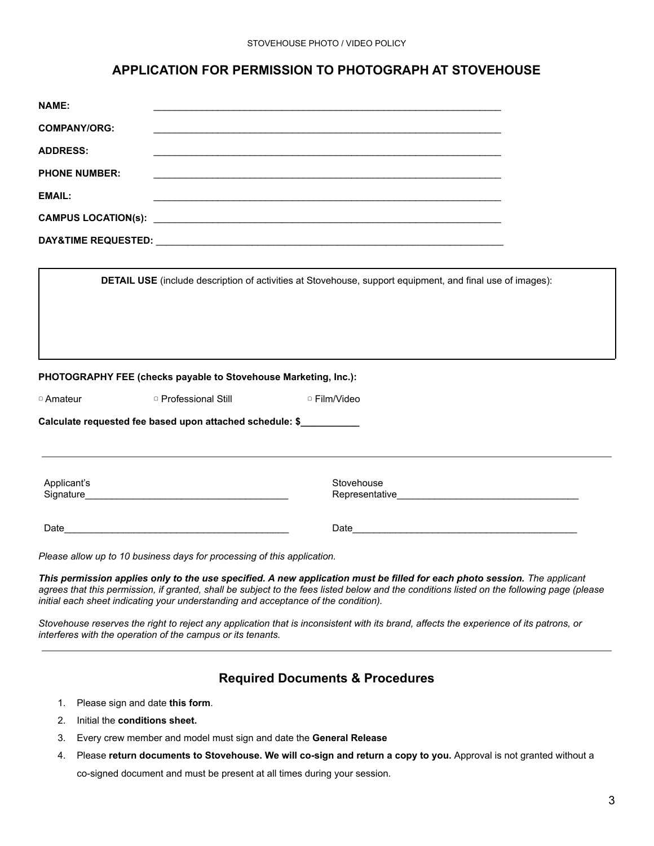## **APPLICATION FOR PERMISSION TO PHOTOGRAPH AT STOVEHOUSE**

| <b>NAME:</b>                                                                 |                      |                                                                                                                                                                                                                                                                                                                                                               |  |
|------------------------------------------------------------------------------|----------------------|---------------------------------------------------------------------------------------------------------------------------------------------------------------------------------------------------------------------------------------------------------------------------------------------------------------------------------------------------------------|--|
| <b>COMPANY/ORG:</b>                                                          |                      |                                                                                                                                                                                                                                                                                                                                                               |  |
| <b>ADDRESS:</b>                                                              |                      |                                                                                                                                                                                                                                                                                                                                                               |  |
| <b>PHONE NUMBER:</b>                                                         |                      | <u> 1989 - Johann Stoff, amerikansk politiker (d. 1989)</u>                                                                                                                                                                                                                                                                                                   |  |
| <b>EMAIL:</b>                                                                |                      |                                                                                                                                                                                                                                                                                                                                                               |  |
|                                                                              |                      |                                                                                                                                                                                                                                                                                                                                                               |  |
|                                                                              |                      |                                                                                                                                                                                                                                                                                                                                                               |  |
|                                                                              |                      |                                                                                                                                                                                                                                                                                                                                                               |  |
|                                                                              |                      |                                                                                                                                                                                                                                                                                                                                                               |  |
| PHOTOGRAPHY FEE (checks payable to Stovehouse Marketing, Inc.):<br>□ Amateur | □ Professional Still | □ Film/Video                                                                                                                                                                                                                                                                                                                                                  |  |
| Calculate requested fee based upon attached schedule: \$                     |                      |                                                                                                                                                                                                                                                                                                                                                               |  |
|                                                                              |                      |                                                                                                                                                                                                                                                                                                                                                               |  |
| Applicant's                                                                  |                      | Stovehouse                                                                                                                                                                                                                                                                                                                                                    |  |
|                                                                              |                      |                                                                                                                                                                                                                                                                                                                                                               |  |
| Please allow up to 10 business days for processing of this application.      |                      |                                                                                                                                                                                                                                                                                                                                                               |  |
|                                                                              |                      | This permission applies only to the use specified. A new application must be filled for each photo session. The applicant<br>agrees that this permission, if granted, shall be subject to the fees listed below and the conditions listed on the following page (please<br>initial each sheet indicating your understanding and acceptance of the condition). |  |

*Stovehouse reserves the right to reject any application that is inconsistent with its brand, affects the experience of its patrons, or interferes with the operation of the campus or its tenants.*

## **Required Documents & Procedures**

- 1. Please sign and date **this form**.
- 2. Initial the **conditions sheet.**
- 3. Every crew member and model must sign and date the **General Release**
- 4. Please **return documents to Stovehouse. We will co-sign and return a copy to you.** Approval is not granted without a co-signed document and must be present at all times during your session.